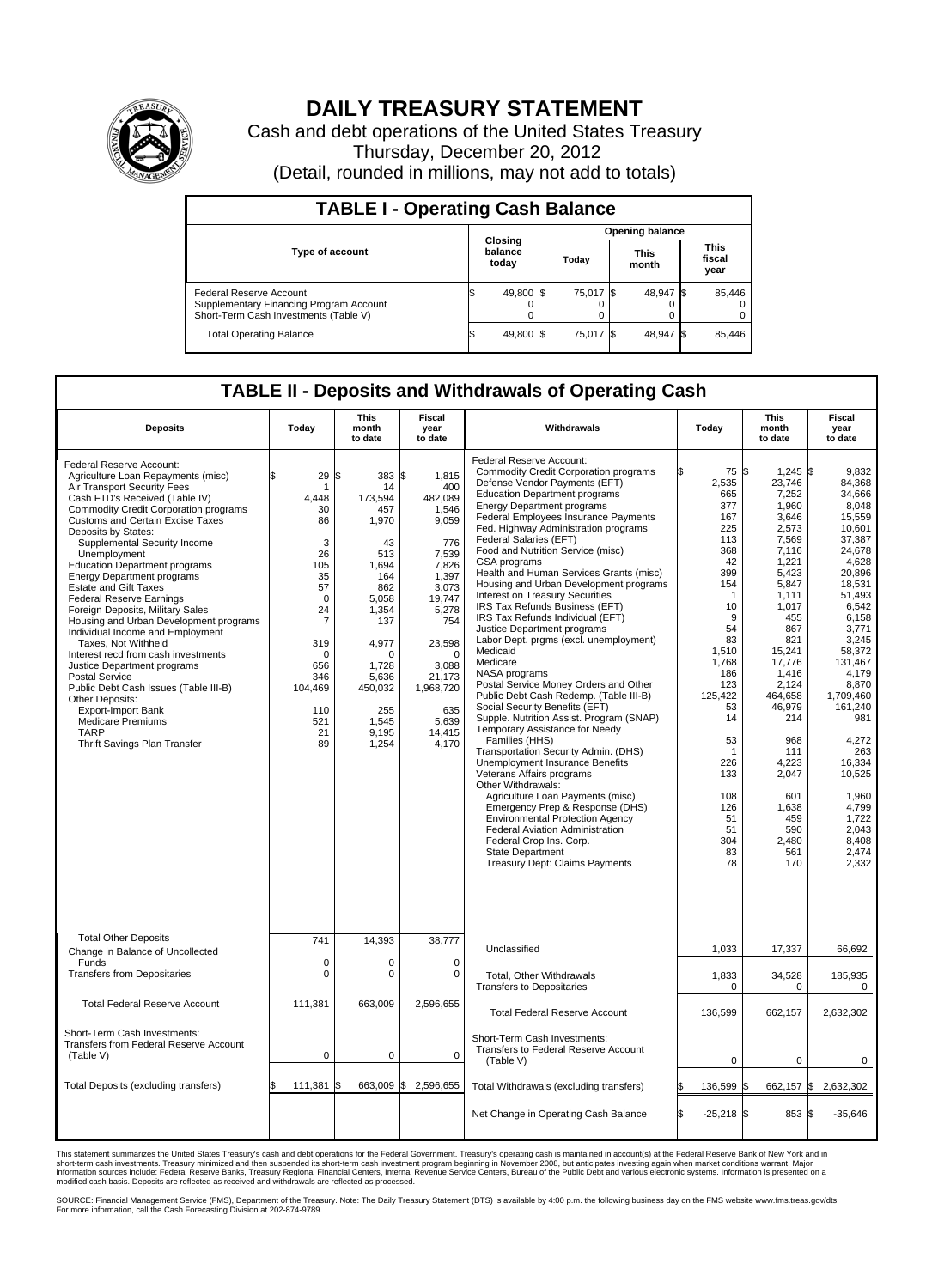

## **DAILY TREASURY STATEMENT**

Cash and debt operations of the United States Treasury Thursday, December 20, 2012 (Detail, rounded in millions, may not add to totals)

| <b>TABLE I - Operating Cash Balance</b>                                                                     |                             |                        |           |                               |  |  |  |  |  |
|-------------------------------------------------------------------------------------------------------------|-----------------------------|------------------------|-----------|-------------------------------|--|--|--|--|--|
|                                                                                                             |                             | <b>Opening balance</b> |           |                               |  |  |  |  |  |
| <b>Type of account</b>                                                                                      | Closing<br>balance<br>today | This<br>Today<br>month |           | <b>This</b><br>fiscal<br>year |  |  |  |  |  |
| Federal Reserve Account<br>Supplementary Financing Program Account<br>Short-Term Cash Investments (Table V) | 49,800 \$                   | 75,017 \$              | 48.947 \$ | 85,446<br>$^{(1)}$<br>0       |  |  |  |  |  |
| <b>Total Operating Balance</b>                                                                              | 49,800 \$                   | 75,017 \$              | 48,947 \$ | 85,446                        |  |  |  |  |  |

## **TABLE II - Deposits and Withdrawals of Operating Cash**

| <b>Deposits</b>                                                                                                                                                                                                                                                                                                                                                                                                                                                                                                                                                                                                                                                                                                                                                                                                                                        | Todav                                                                                                                                                  | This<br>month<br>to date                                                                                                                                                                     | Fiscal<br>vear<br>to date                                                                                                                                                                                         | Withdrawals                                                                                                                                                                                                                                                                                                                                                                                                                                                                                                                                                                                                                                                                                                                                                                                                                                                                                                                                                                                                                                                                                                                                                                                                                                                                                      | Today                                                                                                                                                                                                                                           | This<br>month<br>to date                                                                                                                                                                                                                                                                            | Fiscal<br>year<br>to date                                                                                                                                                                                                                                                                                                      |
|--------------------------------------------------------------------------------------------------------------------------------------------------------------------------------------------------------------------------------------------------------------------------------------------------------------------------------------------------------------------------------------------------------------------------------------------------------------------------------------------------------------------------------------------------------------------------------------------------------------------------------------------------------------------------------------------------------------------------------------------------------------------------------------------------------------------------------------------------------|--------------------------------------------------------------------------------------------------------------------------------------------------------|----------------------------------------------------------------------------------------------------------------------------------------------------------------------------------------------|-------------------------------------------------------------------------------------------------------------------------------------------------------------------------------------------------------------------|--------------------------------------------------------------------------------------------------------------------------------------------------------------------------------------------------------------------------------------------------------------------------------------------------------------------------------------------------------------------------------------------------------------------------------------------------------------------------------------------------------------------------------------------------------------------------------------------------------------------------------------------------------------------------------------------------------------------------------------------------------------------------------------------------------------------------------------------------------------------------------------------------------------------------------------------------------------------------------------------------------------------------------------------------------------------------------------------------------------------------------------------------------------------------------------------------------------------------------------------------------------------------------------------------|-------------------------------------------------------------------------------------------------------------------------------------------------------------------------------------------------------------------------------------------------|-----------------------------------------------------------------------------------------------------------------------------------------------------------------------------------------------------------------------------------------------------------------------------------------------------|--------------------------------------------------------------------------------------------------------------------------------------------------------------------------------------------------------------------------------------------------------------------------------------------------------------------------------|
| Federal Reserve Account:<br>Agriculture Loan Repayments (misc)<br>Air Transport Security Fees<br>Cash FTD's Received (Table IV)<br><b>Commodity Credit Corporation programs</b><br><b>Customs and Certain Excise Taxes</b><br>Deposits by States:<br>Supplemental Security Income<br>Unemployment<br><b>Education Department programs</b><br><b>Energy Department programs</b><br><b>Estate and Gift Taxes</b><br><b>Federal Reserve Earnings</b><br>Foreign Deposits, Military Sales<br>Housing and Urban Development programs<br>Individual Income and Employment<br>Taxes, Not Withheld<br>Interest recd from cash investments<br>Justice Department programs<br>Postal Service<br>Public Debt Cash Issues (Table III-B)<br>Other Deposits:<br><b>Export-Import Bank</b><br><b>Medicare Premiums</b><br><b>TARP</b><br>Thrift Savings Plan Transfer | 29<br>1<br>4.448<br>30<br>86<br>3<br>26<br>105<br>35<br>57<br>0<br>24<br>$\overline{7}$<br>319<br>0<br>656<br>346<br>104,469<br>110<br>521<br>21<br>89 | l\$<br>383<br>14<br>173.594<br>457<br>1,970<br>43<br>513<br>1.694<br>164<br>862<br>5,058<br>1,354<br>137<br>4,977<br>$\Omega$<br>1,728<br>5.636<br>450,032<br>255<br>1.545<br>9,195<br>1,254 | l\$<br>1,815<br>400<br>482,089<br>1,546<br>9,059<br>776<br>7,539<br>7,826<br>1,397<br>3.073<br>19,747<br>5,278<br>754<br>23,598<br>$\mathbf 0$<br>3,088<br>21,173<br>1,968,720<br>635<br>5.639<br>14,415<br>4,170 | Federal Reserve Account:<br><b>Commodity Credit Corporation programs</b><br>Defense Vendor Payments (EFT)<br><b>Education Department programs</b><br><b>Energy Department programs</b><br>Federal Employees Insurance Payments<br>Fed. Highway Administration programs<br>Federal Salaries (EFT)<br>Food and Nutrition Service (misc)<br>GSA programs<br>Health and Human Services Grants (misc)<br>Housing and Urban Development programs<br><b>Interest on Treasury Securities</b><br>IRS Tax Refunds Business (EFT)<br>IRS Tax Refunds Individual (EFT)<br>Justice Department programs<br>Labor Dept. prgms (excl. unemployment)<br>Medicaid<br>Medicare<br>NASA programs<br>Postal Service Money Orders and Other<br>Public Debt Cash Redemp. (Table III-B)<br>Social Security Benefits (EFT)<br>Supple. Nutrition Assist. Program (SNAP)<br>Temporary Assistance for Needy<br>Families (HHS)<br>Transportation Security Admin. (DHS)<br><b>Unemployment Insurance Benefits</b><br>Veterans Affairs programs<br>Other Withdrawals:<br>Agriculture Loan Payments (misc)<br>Emergency Prep & Response (DHS)<br><b>Environmental Protection Agency</b><br><b>Federal Aviation Administration</b><br>Federal Crop Ins. Corp.<br><b>State Department</b><br><b>Treasury Dept: Claims Payments</b> | 75 \$<br>2,535<br>665<br>377<br>167<br>225<br>113<br>368<br>42<br>399<br>154<br>$\mathbf 1$<br>10<br>9<br>54<br>83<br>1,510<br>1,768<br>186<br>123<br>125,422<br>53<br>14<br>53<br>1<br>226<br>133<br>108<br>126<br>51<br>51<br>304<br>83<br>78 | $1,245$ \$<br>23,746<br>7,252<br>1,960<br>3,646<br>2,573<br>7,569<br>7,116<br>1,221<br>5,423<br>5,847<br>1.111<br>1,017<br>455<br>867<br>821<br>15.241<br>17,776<br>1,416<br>2,124<br>464,658<br>46,979<br>214<br>968<br>111<br>4.223<br>2,047<br>601<br>1,638<br>459<br>590<br>2,480<br>561<br>170 | 9.832<br>84,368<br>34,666<br>8.048<br>15,559<br>10,601<br>37,387<br>24.678<br>4,628<br>20,896<br>18,531<br>51.493<br>6,542<br>6,158<br>3,771<br>3,245<br>58.372<br>131,467<br>4,179<br>8,870<br>1,709,460<br>161,240<br>981<br>4,272<br>263<br>16,334<br>10,525<br>1,960<br>4.799<br>1,722<br>2.043<br>8,408<br>2,474<br>2,332 |
| <b>Total Other Deposits</b><br>Change in Balance of Uncollected                                                                                                                                                                                                                                                                                                                                                                                                                                                                                                                                                                                                                                                                                                                                                                                        | 741                                                                                                                                                    | 14,393                                                                                                                                                                                       | 38,777                                                                                                                                                                                                            | Unclassified                                                                                                                                                                                                                                                                                                                                                                                                                                                                                                                                                                                                                                                                                                                                                                                                                                                                                                                                                                                                                                                                                                                                                                                                                                                                                     | 1,033                                                                                                                                                                                                                                           | 17,337                                                                                                                                                                                                                                                                                              | 66,692                                                                                                                                                                                                                                                                                                                         |
| Funds<br><b>Transfers from Depositaries</b>                                                                                                                                                                                                                                                                                                                                                                                                                                                                                                                                                                                                                                                                                                                                                                                                            | $\mathbf 0$<br>0                                                                                                                                       | $\mathbf 0$<br>$\pmb{0}$                                                                                                                                                                     | $\mathbf 0$<br>$\mathbf 0$                                                                                                                                                                                        | <b>Total, Other Withdrawals</b><br><b>Transfers to Depositaries</b>                                                                                                                                                                                                                                                                                                                                                                                                                                                                                                                                                                                                                                                                                                                                                                                                                                                                                                                                                                                                                                                                                                                                                                                                                              | 1,833<br>$\mathbf 0$                                                                                                                                                                                                                            | 34,528<br>0                                                                                                                                                                                                                                                                                         | 185,935<br>0                                                                                                                                                                                                                                                                                                                   |
| <b>Total Federal Reserve Account</b>                                                                                                                                                                                                                                                                                                                                                                                                                                                                                                                                                                                                                                                                                                                                                                                                                   | 111.381                                                                                                                                                | 663.009                                                                                                                                                                                      | 2.596.655                                                                                                                                                                                                         | <b>Total Federal Reserve Account</b>                                                                                                                                                                                                                                                                                                                                                                                                                                                                                                                                                                                                                                                                                                                                                                                                                                                                                                                                                                                                                                                                                                                                                                                                                                                             | 136,599                                                                                                                                                                                                                                         | 662,157                                                                                                                                                                                                                                                                                             | 2,632,302                                                                                                                                                                                                                                                                                                                      |
| Short-Term Cash Investments:<br>Transfers from Federal Reserve Account<br>(Table V)                                                                                                                                                                                                                                                                                                                                                                                                                                                                                                                                                                                                                                                                                                                                                                    | $\mathbf 0$                                                                                                                                            | $\mathbf 0$                                                                                                                                                                                  | $\mathbf 0$                                                                                                                                                                                                       | Short-Term Cash Investments:<br>Transfers to Federal Reserve Account<br>(Table V)                                                                                                                                                                                                                                                                                                                                                                                                                                                                                                                                                                                                                                                                                                                                                                                                                                                                                                                                                                                                                                                                                                                                                                                                                | $\mathbf 0$                                                                                                                                                                                                                                     | 0                                                                                                                                                                                                                                                                                                   | 0                                                                                                                                                                                                                                                                                                                              |
| Total Deposits (excluding transfers)                                                                                                                                                                                                                                                                                                                                                                                                                                                                                                                                                                                                                                                                                                                                                                                                                   | 111,381                                                                                                                                                | 663,009<br>l\$                                                                                                                                                                               | \$<br>2,596,655                                                                                                                                                                                                   | Total Withdrawals (excluding transfers)                                                                                                                                                                                                                                                                                                                                                                                                                                                                                                                                                                                                                                                                                                                                                                                                                                                                                                                                                                                                                                                                                                                                                                                                                                                          | 136,599 \$                                                                                                                                                                                                                                      | 662,157 \$                                                                                                                                                                                                                                                                                          | 2,632,302                                                                                                                                                                                                                                                                                                                      |
|                                                                                                                                                                                                                                                                                                                                                                                                                                                                                                                                                                                                                                                                                                                                                                                                                                                        |                                                                                                                                                        |                                                                                                                                                                                              |                                                                                                                                                                                                                   | Net Change in Operating Cash Balance                                                                                                                                                                                                                                                                                                                                                                                                                                                                                                                                                                                                                                                                                                                                                                                                                                                                                                                                                                                                                                                                                                                                                                                                                                                             | l\$<br>$-25,218$ \$                                                                                                                                                                                                                             | 853 \$                                                                                                                                                                                                                                                                                              | $-35,646$                                                                                                                                                                                                                                                                                                                      |

This statement summarizes the United States Treasury's cash and debt operations for the Federal Government. Treasury's operating cash is maintained in account(s) at the Federal Reserve Bank of New York and in<br>short-term ca

SOURCE: Financial Management Service (FMS), Department of the Treasury. Note: The Daily Treasury Statement (DTS) is available by 4:00 p.m. the following business day on the FMS website www.fms.treas.gov/dts.<br>For more infor